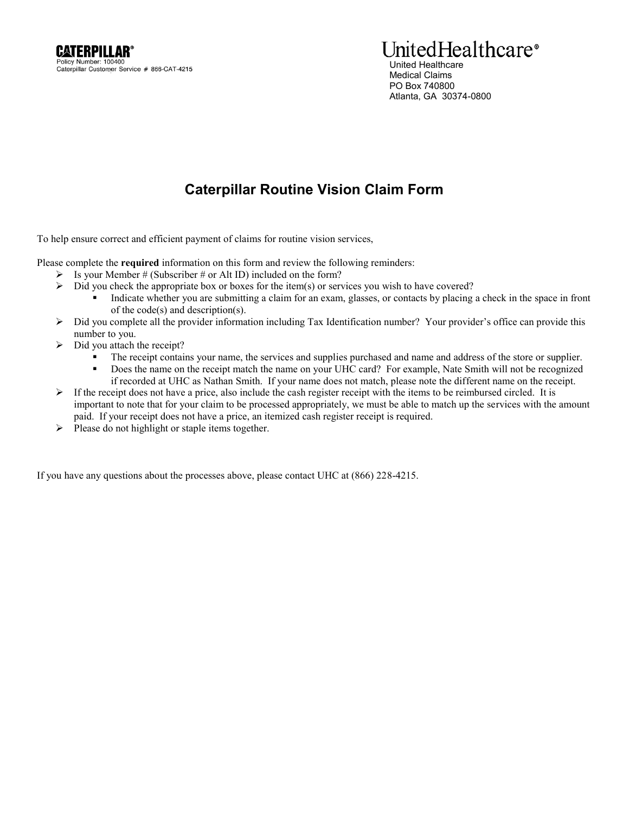## UnitedHealthcare<sup>®</sup> United Healthcare Medical Claims PO Box 740800 Atlanta, GA 30374-0800

## **Caterpillar Routine Vision Claim Form**

To help ensure correct and efficient payment of claims for routine vision services,

Please complete the **required** information on this form and review the following reminders:

- $\triangleright$  Is your Member # (Subscriber # or Alt ID) included on the form?
- $\triangleright$  Did you check the appropriate box or boxes for the item(s) or services you wish to have covered?
	- Indicate whether you are submitting a claim for an exam, glasses, or contacts by placing a check in the space in front of the code(s) and description(s).
- $\triangleright$  Did you complete all the provider information including Tax Identification number? Your provider's office can provide this number to you.
- $\triangleright$  Did you attach the receipt?
	- The receipt contains your name, the services and supplies purchased and name and address of the store or supplier.
	- Does the name on the receipt match the name on your UHC card? For example, Nate Smith will not be recognized if recorded at UHC as Nathan Smith. If your name does not match, please note the different name on the receipt.
- $\triangleright$  If the receipt does not have a price, also include the cash register receipt with the items to be reimbursed circled. It is important to note that for your claim to be processed appropriately, we must be able to match up the services with the amount paid. If your receipt does not have a price, an itemized cash register receipt is required.
- $\triangleright$  Please do not highlight or staple items together.

If you have any questions about the processes above, please contact UHC at (866) 228-4215.